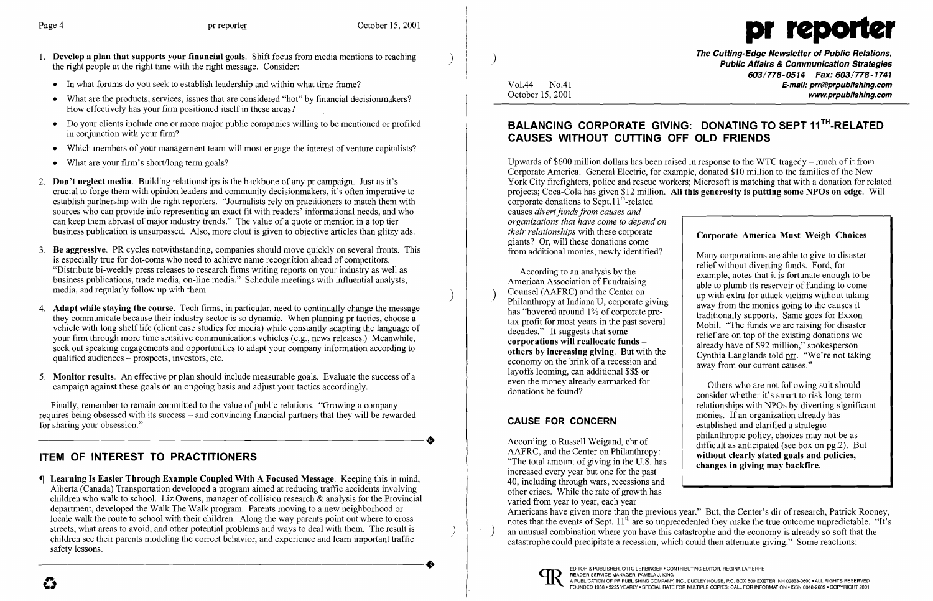

- 1. Develop a plan that supports your financial goals. Shift focus from media mentions to reaching the right people at the right time with the right message. Consider: .
	- In what forums do you seek to establish leadership and within what time frame?
	- What are the products, services, issues that are considered "hot" by financial decisionmakers? How effectively has your firm positioned itself in these areas?
	- Do your clients include one or more major public companies willing to be mentioned or profiled in conjunction with your firm?
	- Which members of your management team will most engage the interest of venture capitalists?
	- What are your firm's short/long term goals?
- 2. **Don't neglect media.** Building relationships is the backbone of any pr campaign. Just as it's crucial to forge them with opinion leaders and community decisionmakers, it's often imperative to establish partnership with the right reporters. "Journalists rely on practitioners to match them with sources who can provide info representing an exact fit with readers' informational needs, and who can keep them abreast of major industry trends." The value of a quote or mention in a top tier business publication is unsurpassed. Also, more clout is given to objective articles than glitzy ads.
- 3. Be aggressive. PR cycles notwithstanding, companies should move quickly on several fronts. This is especially true for dot-coms who need to achieve name recognition ahead of competitors. "Distribute bi-weekly press releases to research firms writing reports on your industry as well as business publications, trade media, on-line media." Schedule meetings with influential analysts, media, and regularly follow up with them.
- 4. **Adapt while staying the course**. Tech firms, in particular, need to continually change the message they communicate because their industry sector is so dynamic. When planning pr tactics, choose a vehicle with long shelf life (client case studies for media) while constantly adapting the language of your firm through more time sensitive communications vehicles (e.g., news releases.) Meanwhile, seek out speaking engagements and opportunities to adapt your company information according to qualified audiences - prospects, investors, etc.
- 5. Monitor results. An effective pr plan should include measurable goals. Evaluate the success of a campaign against these goals on an ongoing basis and adjust your tactics accordingly.

The Cutting-Edge Newsletter of Public Relations, ) Public Affairs & Communication Strategies 603/778-0514 Fax: 603/778-1741 Vol.44 No.41 **No.41** No.41 **E-mail: prr@prpublishing.com** www.prpublishing.com

## BALANCING CORPORATE GIVING: DONATING TO SEPT 11<sup>TH</sup>-RELATED CAUSES WITHOUT CUTTING OFF OLD FRIENDS

 Many corporations are able to give to disaster relief without diverting funds. Ford, for According to an analysis by the example, notes that it is fortunate enough to be<br>American Association of Fundraising American Association of Fundraising able to plumb its reservoir of funding to come<br>Counsel (AAFRC) and the Center on up with extra for attack victims without taking Philanthropy at Indiana U, corporate giving<br>has "hovered around 1% of corporate pre-<br>the ditionally supports. Some goes for Eyyen has "hovered around 1% of corporate pre-<br>tax profit for most years in the past several Mobil. "The funds we are raising for disaster tax profit for most years in the past several Mobil. "The funds we are raising for disaster decades." It suggests that **some** and profit for an ten of the quisting denotions we decades." It suggests that **some** relief are on top of the existing donations we<br>corporations will reallocate funds  $\frac{1}{2}$  relief are on top of the existing donations we corporations will reallocate funds  $\left\{\n\begin{array}{c}\n\text{already have of $92 million," spokesperson}\n\text{others by increasing giving. But with the economy on the brink of a recession and away from our current causes."}\n\end{array}\n\right\}$ 

Finally, remember to remain committed to the value of public relations. "Growing a company requires being obsessed with its success – and convincing financial partners that they will be rewarded for sharing your obsession." for sharing your obsession."

economy on the brink of a recession and layoffs looming, can additional \$\$\$ or even the money already earmarked for

# ITEM OF INTEREST TO PRACTITIONERS

 Learning Is Easier Through Example Coupled With A Focused Message. Keeping this in mind, Alberta (Canada) Transportation developed a program aimed at reducing traffic accidents involving children who walk to school. Liz Owens, manager of collision research & analysis for the Provincial department, developed the Walk The Walk program. Parents moving to a new neighborhood or locale walk the route to school with their children. Along the way parents point out where to cross streets, what areas to avoid, and other potential problems and ways to deal with them. The result is children see their parents modeling the correct behavior, and experience and learn important traffic safety lessons. safety lessons.

According to Russell Weigand, chr of<br>AAFRC, and the Center on Philanthropy:<br> $\begin{array}{c|c}\n\text{Hilag} & \text{incomplete points, choices may not be as}\n\end{array}$ AAFRC, and the Center on Philanthropy: without clearly stated goals and policies,<br>"The total amount of giving in the U.S. has changes in giving may backfire. increased every year but one for the past 40, including through wars, recessions and other crises. While the rate of growth has varied from year to year, each year Americans have given more than the previous year." But, the Center's dir ofresearch, Patrick Rooney, notes that the events of Sept.  $11<sup>th</sup>$  are so unprecedented they make the true outcome unpredictable. "It's an unusual combination where you have this catastrophe and the economy is already so soft that the catastrophe could precipitate a recession, which could then attenuate giving." Some reactions:



 $\sim$ 

Upwards of \$600 million dollars has been raised in response to the WTC tragedy - much of it from Corporate America. General Electric, for example, donated \$10 million to the families of the New York City firefighters, police and rescue workers; Microsoft is matching that with a donation for related projects; Coca-Cola has given \$12 million. All this generosity is putting some NPOs on edge. Will corporate donations to Sept.  $11<sup>th</sup>$ -related causes *divert funds from causes and organizations that have come to depend on*  **Corporate America Must Weigh Choices** giants? Or, will these donations come from additional monies, newly identified?

 Others who are not following suit should donations be found?<br>
consider whether it's smart to risk long term relationships with NPOs by diverting significant monies. If an organization already has **CAUSE FOR CONCERN** established and clarified a strategic philanthropic policy, choices may not be as